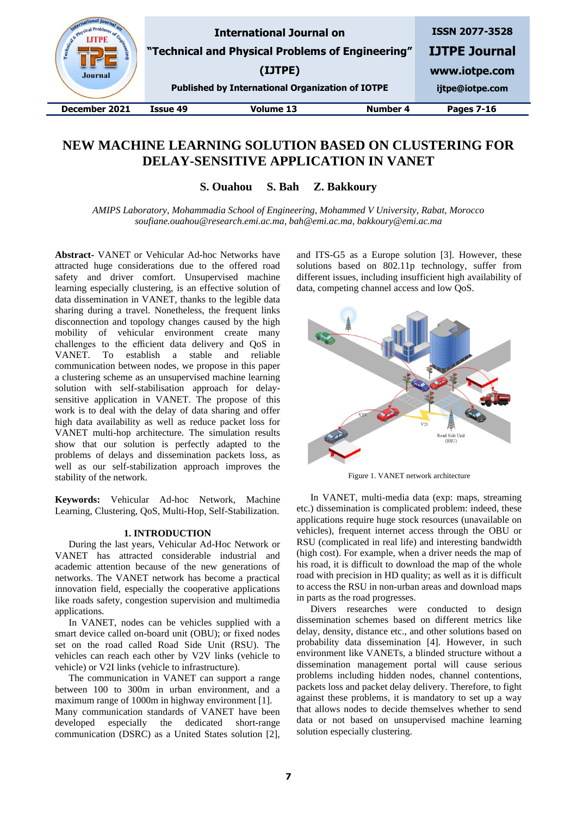| (IJTPE)   |                                 | <b>ISSN 2077-3528</b><br><b>IJTPE Journal</b><br>www.iotpe.com<br>ijtpe@iotpe.com                           |
|-----------|---------------------------------|-------------------------------------------------------------------------------------------------------------|
| Volume 13 | <b>Number 4</b>                 | <b>Pages 7-16</b>                                                                                           |
| Issue 49  | <b>International Journal on</b> | "Technical and Physical Problems of Engineering"<br><b>Published by International Organization of IOTPE</b> |

# **NEW MACHINE LEARNING SOLUTION BASED ON CLUSTERING FOR DELAY-SENSITIVE APPLICATION IN VANET**

**S. Ouahou S. Bah Z. Bakkoury**

*AMIPS Laboratory, Mohammadia School of Engineering, Mohammed V University, Rabat, Morocco soufiane.ouahou@research.emi.ac.ma, bah@emi.ac.ma, bakkoury@emi.ac.ma*

**Abstract-** VANET or Vehicular Ad-hoc Networks have attracted huge considerations due to the offered road safety and driver comfort. Unsupervised machine learning especially clustering, is an effective solution of data dissemination in VANET, thanks to the legible data sharing during a travel. Nonetheless, the frequent links disconnection and topology changes caused by the high mobility of vehicular environment create many challenges to the efficient data delivery and QoS in VANET. To establish a stable and reliable communication between nodes, we propose in this paper a clustering scheme as an unsupervised machine learning solution with self-stabilisation approach for delaysensitive application in VANET. The propose of this work is to deal with the delay of data sharing and offer high data availability as well as reduce packet loss for VANET multi-hop architecture. The simulation results show that our solution is perfectly adapted to the problems of delays and dissemination packets loss, as well as our self-stabilization approach improves the stability of the network.

**Keywords:** Vehicular Ad-hoc Network, Machine Learning, Clustering, QoS, Multi-Hop, Self-Stabilization.

#### **1. INTRODUCTION**

During the last years, Vehicular Ad-Hoc Network or VANET has attracted considerable industrial and academic [attention](https://www.thesaurus.com/browse/consideration) because of the new generations of networks. The VANET network has become a practical innovation field, especially the cooperative applications like roads safety, congestion supervision and multimedia applications.

In VANET, nodes can be vehicles supplied with a smart device called on-board unit (OBU); or fixed nodes set on the road called Road Side Unit (RSU). The vehicles can reach each other by V2V links (vehicle to vehicle) or V2I links (vehicle to infrastructure).

The communication in VANET can support a range between 100 to 300m in urban environment, and a maximum range of 1000m in highway environment [1]. Many communication standards of VANET have been developed especially the dedicated short-range communication (DSRC) as a United States solution [2],

and ITS-G5 as a Europe solution [3]. However, these solutions based on 802.11p technology, suffer from different issues, including insufficient high availability of data, competing channel access and low QoS.



Figure 1. VANET network architecture

In VANET, multi-media data (exp: maps, streaming etc.) dissemination is complicated problem: indeed, these applications require huge stock resources (unavailable on vehicles), frequent internet access through the OBU or RSU (complicated in real life) and interesting bandwidth (high cost). For example, when a driver needs the map of his road, it is difficult to download the map of the whole road with precision in HD quality; as well as it is difficult to access the RSU in non-urban areas and download maps in parts as the road progresses.

Divers researches were conducted to design dissemination schemes based on different metrics like delay, density, distance etc., and other solutions based on probability data dissemination [4]. However, in such environment like VANETs, a blinded structure without a dissemination management portal will cause serious problems including hidden nodes, channel contentions, packets loss and packet delay delivery. Therefore, to fight against these problems, it is mandatory to set up a way that allows nodes to decide themselves whether to send data or not based on unsupervised machine learning solution especially clustering.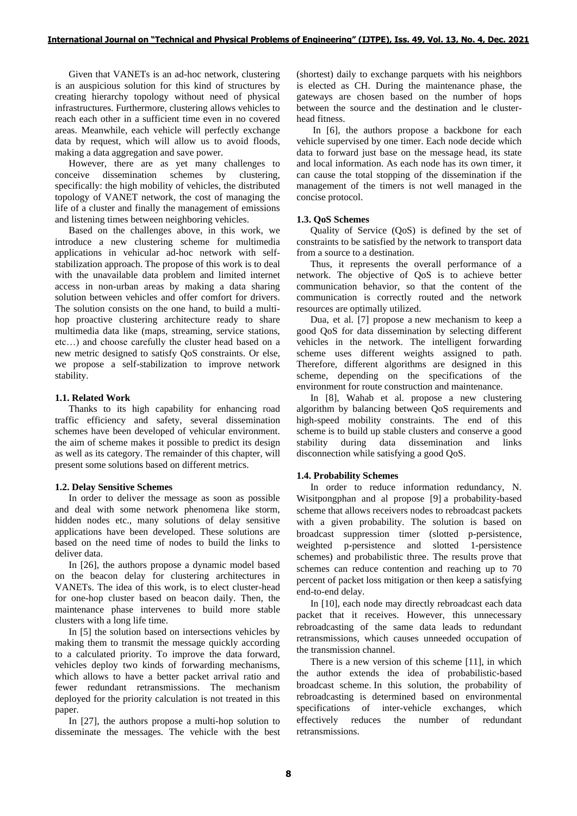Given that VANETs is an ad-hoc network, clustering is an auspicious solution for this kind of structures by creating hierarchy topology without need of physical infrastructures. Furthermore, clustering allows vehicles to reach each other in a sufficient time even in no covered areas. Meanwhile, each vehicle will perfectly exchange data by request, which will allow us to avoid floods, making a data aggregation and save power.

However, there are as yet many challenges to conceive dissemination schemes by clustering, specifically: the high mobility of vehicles, the distributed topology of VANET network, the cost of managing the life of a cluster and finally the management of emissions and listening times between neighboring vehicles.

Based on the challenges above, in this work, we introduce a new clustering scheme for multimedia applications in vehicular ad-hoc network with selfstabilization approach. The propose of this work is to deal with the unavailable data problem and limited internet access in non-urban areas by making a data sharing solution between vehicles and offer comfort for drivers. The solution consists on the one hand, to build a multihop proactive clustering architecture ready to share multimedia data like (maps, streaming, service stations, etc…) and choose carefully the cluster head based on a new metric designed to satisfy QoS constraints. Or else, we propose a self-stabilization to improve network stability.

# **1.1. Related Work**

Thanks to its high capability for enhancing road traffic efficiency and safety, several dissemination schemes have been developed of vehicular environment. the aim of scheme makes it possible to predict its design as well as its category. The remainder of this chapter, will present some solutions based on different metrics.

# **1.2. Delay Sensitive Schemes**

In order to deliver the message as soon as possible and deal with some network phenomena like storm, hidden nodes etc., many solutions of delay sensitive applications have been developed. These solutions are based on the need time of nodes to build the links to deliver data.

In [26], the authors propose a dynamic model based on the beacon delay for clustering architectures in VANETs. The idea of this work, is to elect cluster-head for one-hop cluster based on beacon daily. Then, the maintenance phase intervenes to build more stable clusters with a long life time.

In [5] the solution based on intersections vehicles by making them to transmit the message quickly according to a calculated priority. To improve the data forward, vehicles deploy two kinds of forwarding mechanisms, which allows to have a better packet arrival ratio and fewer redundant retransmissions. The mechanism deployed for the priority calculation is not treated in this paper.

In [27], the authors propose a multi-hop solution to disseminate the messages. The vehicle with the best (shortest) daily to exchange parquets with his neighbors is elected as CH. During the maintenance phase, the gateways are chosen based on the number of hops between the source and the destination and le clusterhead fitness.

In [6], the authors propose a backbone for each vehicle supervised by one timer. Each node decide which data to forward just base on the message head, its state and local information. As each node has its own timer, it can cause the total stopping of the dissemination if the management of the timers is not well managed in the concise protocol.

# **1.3. QoS Schemes**

Quality of Service (QoS) is defined by the set of constraints to be satisfied by the network to transport data from a source to a destination.

Thus, it represents the overall performance of a network. The objective of QoS is to achieve better communication behavior, so that the content of the communication is correctly routed and the network resources are optimally utilized.

Dua, et al. [7] propose a new mechanism to keep a good QoS for data dissemination by selecting different vehicles in the network. The intelligent forwarding scheme uses different weights assigned to path. Therefore, different algorithms are designed in this scheme, depending on the specifications of the environment for route construction and maintenance.

In [8], Wahab et al. propose a new clustering algorithm by balancing between QoS requirements and high-speed mobility constraints. The end of this scheme is to build up stable clusters and conserve a good stability during data dissemination and links disconnection while satisfying a good QoS.

# **1.4. Probability Schemes**

In order to reduce information redundancy, N. Wisitpongphan and al propose [9] a probability-based scheme that allows receivers nodes to rebroadcast packets with a given probability. The solution is based on broadcast suppression timer (slotted p-persistence, weighted p-persistence and slotted 1-persistence schemes) and probabilistic three. The results prove that schemes can reduce contention and reaching up to 70 percent of packet loss mitigation or then keep a satisfying end-to-end delay.

In [10], each node may directly rebroadcast each data packet that it receives. However, this unnecessary rebroadcasting of the same data leads to redundant retransmissions, which causes unneeded occupation of the transmission channel.

There is a new version of this scheme [11], in which the author extends the idea of probabilistic-based broadcast scheme. In this solution, the probability of rebroadcasting is determined based on environmental specifications of inter-vehicle exchanges, which effectively reduces the number of redundant retransmissions.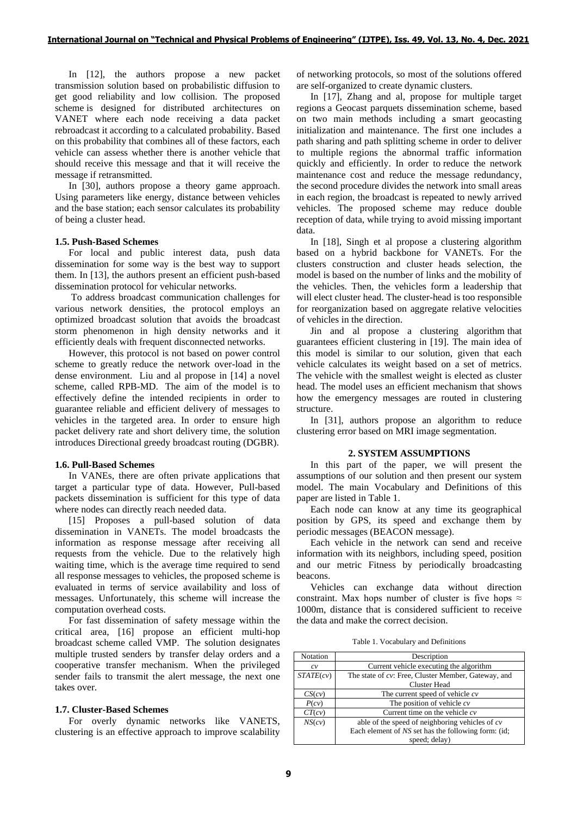In [12], the authors propose a new packet transmission solution based on probabilistic diffusion to get good reliability and low collision. The proposed scheme is designed for distributed architectures on VANET where each node receiving a data packet rebroadcast it according to a calculated probability. Based on this probability that combines all of these factors, each vehicle can assess whether there is another vehicle that should receive this message and that it will receive the message if retransmitted.

In [30], authors propose a theory game approach. Using parameters like energy, distance between vehicles and the base station; each sensor calculates its probability of being a cluster head.

### **1.5. Push-Based Schemes**

For local and public interest data, push data dissemination for some way is the best way to support them. In [13], the authors present an efficient push-based dissemination protocol for vehicular networks.

To address broadcast communication challenges for various network densities, the protocol employs an optimized broadcast solution that avoids the broadcast storm phenomenon in high density networks and it efficiently deals with frequent disconnected networks.

However, this protocol is not based on power control scheme to greatly reduce the network over-load in the dense environment. Liu and al propose in [14] a novel scheme, called RPB-MD. The aim of the model is to effectively define the intended recipients in order to guarantee reliable and efficient delivery of messages to vehicles in the targeted area. In order to ensure high packet delivery rate and short delivery time, the solution introduces Directional greedy broadcast routing (DGBR).

### **1.6. Pull-Based Schemes**

In VANEs, there are often private applications that target a particular type of data. However, Pull-based packets dissemination is sufficient for this type of data where nodes can directly reach needed data.

[15] Proposes a pull-based solution of data dissemination in VANETs. The model broadcasts the information as response message after receiving all requests from the vehicle. Due to the relatively high waiting time, which is the average time required to send all response messages to vehicles, the proposed scheme is evaluated in terms of service availability and loss of messages. Unfortunately, this scheme will increase the computation overhead costs.

For fast dissemination of safety message within the critical area, [16] propose an efficient multi-hop broadcast scheme called VMP. The solution designates multiple trusted senders by transfer delay orders and a cooperative transfer mechanism. When the privileged sender fails to transmit the alert message, the next one takes over.

#### **1.7. Cluster-Based Schemes**

For overly dynamic networks like VANETS, clustering is an effective approach to improve scalability of networking protocols, so most of the solutions offered are self-organized to create dynamic clusters.

In [17], Zhang and al, propose for multiple target regions a Geocast parquets dissemination scheme, based on two main methods including a smart geocasting initialization and maintenance. The first one includes a path sharing and path splitting scheme in order to deliver to multiple regions the abnormal traffic information quickly and efficiently. In order to reduce the network maintenance cost and reduce the message redundancy, the second procedure divides the network into small areas in each region, the broadcast is repeated to newly arrived vehicles. The proposed scheme may reduce double reception of data, while trying to avoid missing important data.

In [18], Singh et al propose a clustering algorithm based on a hybrid backbone for VANETs. For the clusters construction and cluster heads selection, the model is based on the number of links and the mobility of the vehicles. Then, the vehicles form a leadership that will elect cluster head. The cluster-head is too responsible for reorganization based on aggregate relative velocities of vehicles in the direction.

Jin and al propose a clustering algorithm that guarantees efficient clustering in [19]. The main idea of this model is similar to our solution, given that each vehicle calculates its weight based on a set of metrics. The vehicle with the smallest weight is elected as cluster head. The model uses an efficient mechanism that shows how the emergency messages are routed in clustering structure.

In [31], authors propose an algorithm to reduce clustering error based on MRI image segmentation.

### **2. SYSTEM ASSUMPTIONS**

In this part of the paper, we will present the assumptions of our solution and then present our system model. The main Vocabulary and Definitions of this paper are listed in Table 1.

Each node can know at any time its geographical position by GPS, its speed and exchange them by periodic messages (BEACON message).

Each vehicle in the network can send and receive information with its neighbors, including speed, position and our metric Fitness by periodically broadcasting beacons.

Vehicles can exchange data without direction constraint. Max hops number of cluster is five hops  $\approx$ 1000m, distance that is considered sufficient to receive the data and make the correct decision.

Table 1. Vocabulary and Definitions

| Notation  | Description                                         |  |  |
|-----------|-----------------------------------------------------|--|--|
| c v       | Current vehicle executing the algorithm             |  |  |
| STATE(cv) | The state of cv: Free, Cluster Member, Gateway, and |  |  |
|           | <b>Cluster Head</b>                                 |  |  |
| CS(cv)    | The current speed of vehicle $cv$                   |  |  |
| P(cv)     | The position of vehicle $cv$                        |  |  |
| CT(cv)    | Current time on the vehicle $cv$                    |  |  |
| NS(cv)    | able of the speed of neighboring vehicles of $cv$   |  |  |
|           | Each element of NS set has the following form: (id; |  |  |
|           | speed; delay)                                       |  |  |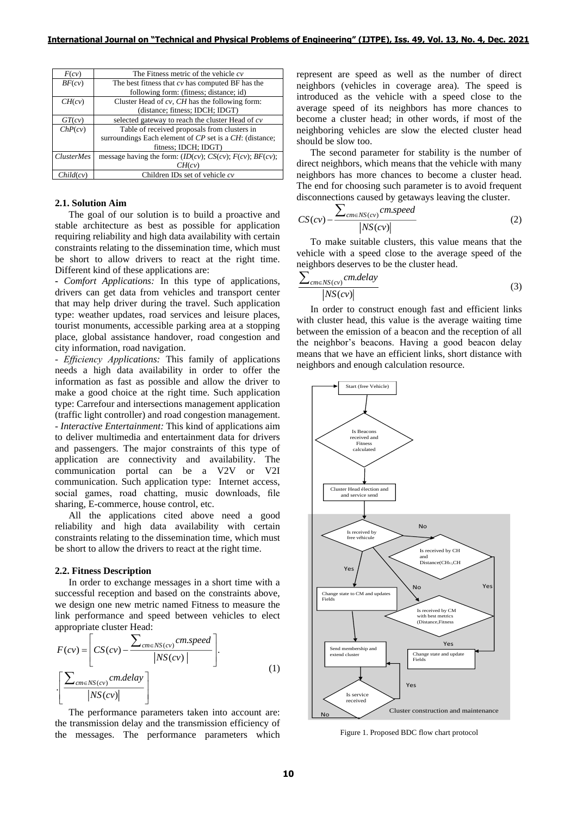| F(cv)             | The Fitness metric of the vehicle $cv$                     |  |  |
|-------------------|------------------------------------------------------------|--|--|
| BF(cv)            | The best fitness that $cv$ has computed BF has the         |  |  |
|                   | following form: (fitness; distance; id)                    |  |  |
| CH(cv)            | Cluster Head of $cv$ , CH has the following form:          |  |  |
|                   | (distance; fitness; IDCH; IDGT)                            |  |  |
| GT(cv)            | selected gateway to reach the cluster Head of $cv$         |  |  |
| ChP(cv)           | Table of received proposals from clusters in               |  |  |
|                   | surroundings Each element of CP set is a CH: (distance;    |  |  |
|                   | fitness; IDCH; IDGT)                                       |  |  |
| <i>ClusterMes</i> | message having the form: $(ID(cv); CS(cv); F(cv); BF(cv);$ |  |  |
|                   | CH(cv)                                                     |  |  |
| Child(cv)         | Children IDs set of vehicle $cv$                           |  |  |

### **2.1. Solution Aim**

The goal of our solution is to build a proactive and stable architecture as best as possible for application requiring reliability and high data availability with certain constraints relating to the dissemination time, which must be short to allow drivers to react at the right time. Different kind of these applications are:

**-** *Comfort Applications:* In this type of applications, drivers can get data from vehicles and transport center that may help driver during the travel. Such application type: weather updates, road services and leisure places, tourist monuments, accessible parking area at a stopping place, global assistance handover, road congestion and city information, road navigation.

- *Efficiency Applications:* This family of applications needs a high data availability in order to offer the information as fast as possible and allow the driver to make a good choice at the right time. Such application type: Carrefour and intersections management application (traffic light controller) and road congestion management. - *Interactive Entertainment:* This kind of applications aim to deliver multimedia and entertainment data for drivers and passengers. The major constraints of this type of application are connectivity and availability. The communication portal can be a V2V or V2I communication. Such application type: Internet access, social games, road chatting, music downloads, file sharing, E-commerce, house control, etc.

All the applications cited above need a good reliability and high data availability with certain constraints relating to the dissemination time, which must be short to allow the drivers to react at the right time.

#### **2.2. Fitness Description**

In order to exchange messages in a short time with a successful reception and based on the constraints above, we design one new metric named Fitness to measure the link performance and speed between vehicles to elect appropriate cluster Head:

$$
F(cv) = \left[ CS(cv) - \frac{\sum_{cm \in NS(cv)} cm, speed}{|NS(cv)|} \right].
$$
\n
$$
\left[ \frac{\sum_{cm \in NS(cv)} cm, delay}{|NS(cv)|} \right].
$$
\n(1)

The performance parameters taken into account are: the transmission delay and the transmission efficiency of the messages. The performance parameters which represent are speed as well as the number of direct neighbors (vehicles in coverage area). The speed is introduced as the vehicle with a speed close to the average speed of its neighbors has more chances to become a cluster head; in other words, if most of the neighboring vehicles are slow the elected cluster head should be slow too.

The second parameter for stability is the number of direct neighbors, which means that the vehicle with many neighbors has more chances to become a cluster head. The end for choosing such parameter is to avoid frequent disconnections caused by getaways leaving the cluster.

$$
CS(cv) - \frac{\sum_{cm \in NS(cv)} cm, speed}{|NS(cv)|}
$$
 (2)

To make suitable clusters, this value means that the vehicle with a speed close to the average speed of the neighbors deserves to be the cluster head.

$$
\frac{\sum_{cm \in NS(cv)} cm. delay}{|NS(cv)|}
$$
 (3)

In order to construct enough fast and efficient links with cluster head, this value is the average waiting time between the emission of a beacon and the reception of all the neighbor's beacons. Having a good beacon delay means that we have an efficient links, short distance with neighbors and enough calculation resource.



Figure 1. Proposed BDC flow chart protocol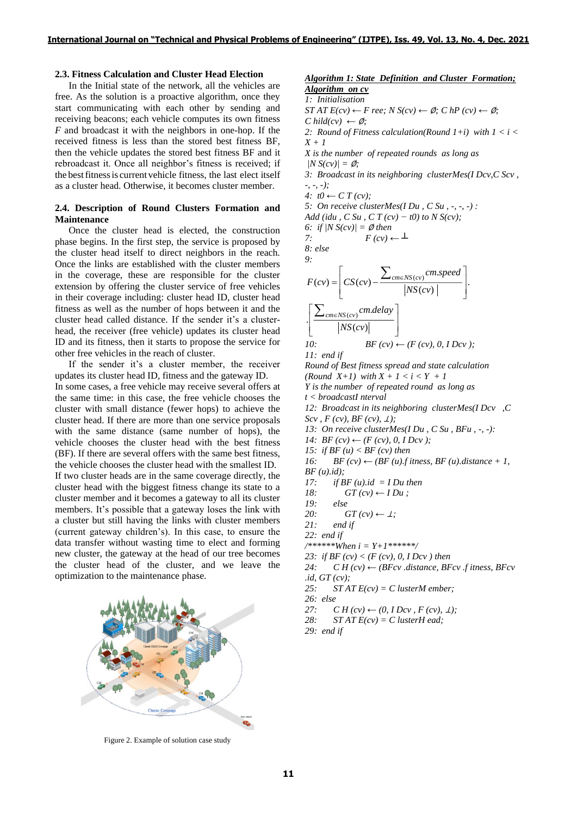# **2.3. Fitness Calculation and Cluster Head Election**

In the Initial state of the network, all the vehicles are free. As the solution is a proactive algorithm, once they start communicating with each other by sending and receiving beacons; each vehicle computes its own fitness *F* and broadcast it with the neighbors in one-hop. If the received fitness is less than the stored best fitness BF, then the vehicle updates the stored best fitness BF and it rebroadcast it. Once all neighbor's fitness is received; if the bestfitnessis current vehicle fitness, the last elect itself as a cluster head. Otherwise, it becomes cluster member.

# **2.4. Description of Round Clusters Formation and Maintenance**

Once the cluster head is elected, the construction phase begins. In the first step, the service is proposed by the cluster head itself to direct neighbors in the reach. Once the links are established with the cluster members in the coverage, these are responsible for the cluster extension by offering the cluster service of free vehicles in their coverage including: cluster head ID, cluster head fitness as well as the number of hops between it and the cluster head called distance. If the sender it's a clusterhead, the receiver (free vehicle) updates its cluster head ID and its fitness, then it starts to propose the service for other free vehicles in the reach of cluster.

If the sender it's a cluster member, the receiver updates its cluster head ID, fitness and the gateway ID. In some cases, a free vehicle may receive several offers at the same time: in this case, the free vehicle chooses the cluster with small distance (fewer hops) to achieve the cluster head. If there are more than one service proposals with the same distance (same number of hops), the vehicle chooses the cluster head with the best fitness (BF). If there are several offers with the same best fitness, the vehicle chooses the cluster head with the smallest ID. If two cluster heads are in the same coverage directly, the cluster head with the biggest fitness change its state to a cluster member and it becomes a gateway to all its cluster members. It's possible that a gateway loses the link with a cluster but still having the links with cluster members (current gateway children's). In this case, to ensure the data transfer without wasting time to elect and forming new cluster, the gateway at the head of our tree becomes the cluster head of the cluster, and we leave the optimization to the maintenance phase.



Figure 2. Example of solution case study

### *Algorithm 1: State Definition and Cluster Formation; Algorithm on cv*

*1: Initialisation*  $STAT E(cv) \leftarrow Free$ ;  $N S(cv) \leftarrow \emptyset$ ;  $ChP(cv) \leftarrow \emptyset$ ;  $C$  *hild*(*cv*)  $\leftarrow \emptyset$ ; *2: Round of Fitness calculation(Round 1+i) with 1 < i < X + 1 X is the number of repeated rounds as long as*  $|N S(cv)| = \emptyset$ ; *3: Broadcast in its neighboring clusterMes(I Dcv,C Scv , -, -, -); 4:*  $t0$  ← *C T* (*cv*)*: 5: On receive clusterMes(I Du , C Su , -, -, -) : Add (idu, C Su, C T (cv) − t0) to N S(cv);* 6: *if*  $|N S(cv)| = \emptyset$  *then* 7:  $F(cv) \leftarrow \perp$ *8: else 9:*  $(cv) = \left[ CS(cv) - \frac{\sum_{cm \in NS(cv)} cm. speed}{|NS(cv)|} \right].$  $\left[ \frac{\sum_{cm \in NS(cv)} cm. delay}{|NS(cv)|} \right]$ .  $F(cv) = \left[ CS(cv) - \frac{\sum_{cm \in NS(cv)} cm. speed}{|NS(cv)|} \right].$ <br> $\left[ \sum_{cm \in NS(cv)} cm. delay \right]$  $=\left[CS(cv)-\frac{\sum_{cm \in NS(cv)} cm, speed}{\left|NS(cv)\right|}\right].$  $\left[ CS(cv) - \frac{\sum_{cm \in NS(cv)} \text{ complex}}{|NS(cv)|} \right].$  $\left[\frac{\sum_{cm \in NS(cv)} cm. delay}{|MC|} \right]$  $\left\lfloor \frac{\angle_{cm \in NS(cv)}^{\angle}}{|NS(cv)|} \right\rfloor$  $\sum$  $\sum$ *10:*  $BF (cv) \leftarrow (F (cv), 0, 1Dcv);$ *11: end if Round of Best fitness spread and state calculation (Round X+1) with X + 1 < i < Y + 1 Y is the number of repeated round as long as t < broadcastI nterval 12: Broadcast in its neighboring clusterMes(I Dcv ,C*   $Scv$ ,  $F (cv)$ ,  $BF (cv)$ ,  $\perp$ *)*; *13: On receive clusterMes(I Du , C Su , BFu , -, -): 14: BF*  $(cv)$  ←  $(F$   $(cv)$ , 0, *I Dcv*  $)$ ; *15: if BF (u) < BF (cv) then 16: BF (cv)*  $\leftarrow$  *(BF (u).f itness, BF (u).distance + 1, BF (u).id); 17: if BF (u).id = I Du then*  $18:$   $GT(cv) \leftarrow IDu$ : *19: else* 20:  $GT(cv) \leftarrow \perp$ ; *21: end if 22: end if /\*\*\*\*\*\*When i = Y+1\*\*\*\*\*\*/ 23: if BF (cv) < (F (cv), 0, I Dcv ) then*  $24:$  *C H (cv)*  $\leftarrow$  *(BFcv .distance, BFcv .f itness, BFcv .id, GT (cv); 25: ST AT E(cv) = C lusterM ember; 26: else 27: CH* (*cv*) ← (0, *I Dcv*, *F* (*cv*), *⊥*);

- *28: ST AT E(cv) = C lusterH ead;*
- *29: end if*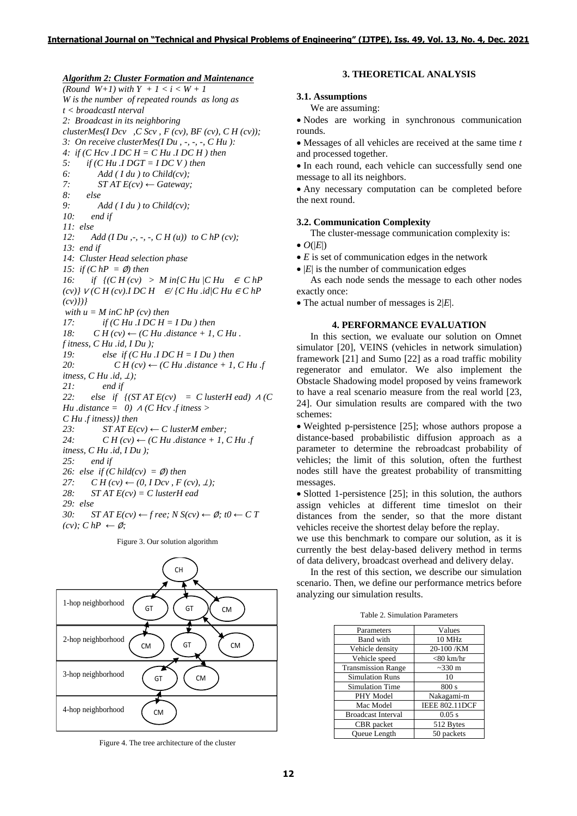*Algorithm 2: Cluster Formation and Maintenance*

*(Round W+1) with Y + 1 < i < W + 1 W is the number of repeated rounds as long as t < broadcastI nterval 2: Broadcast in its neighboring clusterMes(I Dcv ,C Scv , F (cv), BF (cv), C H (cv)); 3: On receive clusterMes(I Du , -, -, -, C Hu ): 4: if (C Hcv .I DC H = C Hu .I DC H ) then 5: if (C Hu .I DGT = I DC V ) then 6: Add ( I du ) to Child(cv); 7: ST AT E(cv) ← Gateway; 8: else 9: Add ( I du ) to Child(cv); 10: end if 11: else 12: Add (I Du ,-, -, -, C H (u)) to C hP (cv); 13: end if 14: Cluster Head selection phase 15: if*  $(C hP = \emptyset)$  then *16: if*  $\{ (CH (cv) > Min \} CHu \} CHu \in ChP \}$ *(cv)}* <sup>∨</sup> *(C H (cv).I DC H* ∈*/ {C Hu .id|C Hu* <sup>∈</sup> *C hP (cv)})} with*  $u = M$  *inC hP* (*cv*) *then 17: if (C Hu .I DC H = I Du ) then 18:*  $CH\left( cv\right) \leftarrow (CHu \cdot distance + 1, CHu \cdot$ *f itness, C Hu .id, I Du ); 19: else if (C Hu .I DC H = I Du ) then* 20:  $CH\left( cv\right) \leftarrow (CHu \cdot distance + 1, CHu \cdot f)$ *itness, C Hu .id, ⊥)*; *21: end if* 22: else if  $\int (STAT E(cv) = C$  *lusterH ead*)  $\Lambda$  *(C Hu .distance* = 0)  $\land$  *(C Hcv .f itness > C Hu .f itness)} then* 23:  $STAT E(cv) \leftarrow C$  *lusterM ember;*<br>24:  $CH(cv) \leftarrow (CHu$ . distance + 1.  $CH (cv) \leftarrow (CHu$  *distance* + 1, C Hu *f itness, C Hu .id, I Du ); 25: end if* 26: else if  $(C \text{ hidden}) = \emptyset$  then *27:*  $CH (cv) ← (0, IDcv, F (cv), ∐);$ *28: ST AT E(cv) = C lusterH ead 29: else 30: ST AT E(cv)* ← *f ree; N S(cv)* ←  $\emptyset$ *; t0* ← *C T*  $(cv):$  *C hP* ← Ø;

Figure 3. Our solution algorithm 1-hop neighborhood CH GT ) (GT ) ( $CM$ 

### **3.1. Assumptions** We are assuming:

• Nodes are working in synchronous communication rounds.

**3. THEORETICAL ANALYSIS**

• Messages of all vehicles are received at the same time *t* and processed together.

• In each round, each vehicle can successfully send one message to all its neighbors.

• Any necessary computation can be completed before the next round.

### **3.2. Communication Complexity**

The cluster-message communication complexity is:

- $\bullet$   $O(|E|)$
- *E* is set of communication edges in the network

 $\bullet$   $|E|$  is the number of communication edges

As each node sends the message to each other nodes exactly once:

• The actual number of messages is 2|*E*|.

# **4. PERFORMANCE EVALUATION**

In this section, we evaluate our solution on Omnet simulator [20], VEINS (vehicles in network simulation) framework [21] and Sumo [22] as a road traffic mobility regenerator and emulator. We also implement the Obstacle Shadowing model proposed by veins framework to have a real scenario measure from the real world [23, 24]. Our simulation results are compared with the two schemes:

• Weighted p-persistence [25]; whose authors propose a distance-based probabilistic diffusion approach as a parameter to determine the rebroadcast probability of vehicles; the limit of this solution, often the furthest nodes still have the greatest probability of transmitting messages.

• Slotted 1-persistence [25]; in this solution, the authors assign vehicles at different time timeslot on their distances from the sender, so that the more distant vehicles receive the shortest delay before the replay.

we use this benchmark to compare our solution, as it is currently the best delay-based delivery method in terms of data delivery, broadcast overhead and delivery delay.

In the rest of this section, we describe our simulation scenario. Then, we define our performance metrics before analyzing our simulation results.

| Parameters                | Values                |
|---------------------------|-----------------------|
| Band with                 | <b>10 MHz</b>         |
| Vehicle density           | 20-100 /KM            |
| Vehicle speed             | $<$ 80 km/hr          |
| <b>Transmission Range</b> | $\sim$ 330 m          |
| <b>Simulation Runs</b>    | 10                    |
| <b>Simulation Time</b>    | 800 s                 |
| PHY Model                 | Nakagami-m            |
| Mac Model                 | <b>IEEE 802.11DCF</b> |
| <b>Broadcast Interval</b> | $0.05$ s              |
| CBR packet                | 512 Bytes             |
| <b>Oueue</b> Length       | 50 packets            |

Table 2. Simulation Parameters

Figure 4. The tree architecture of the cluster

CM

 $CM$  ) (GT) (CM

GT ) ( CM

4-hop neighborhood

3-hop neighborhood

2-hop neighborhood

*C hild(cv) ←* ∅*;*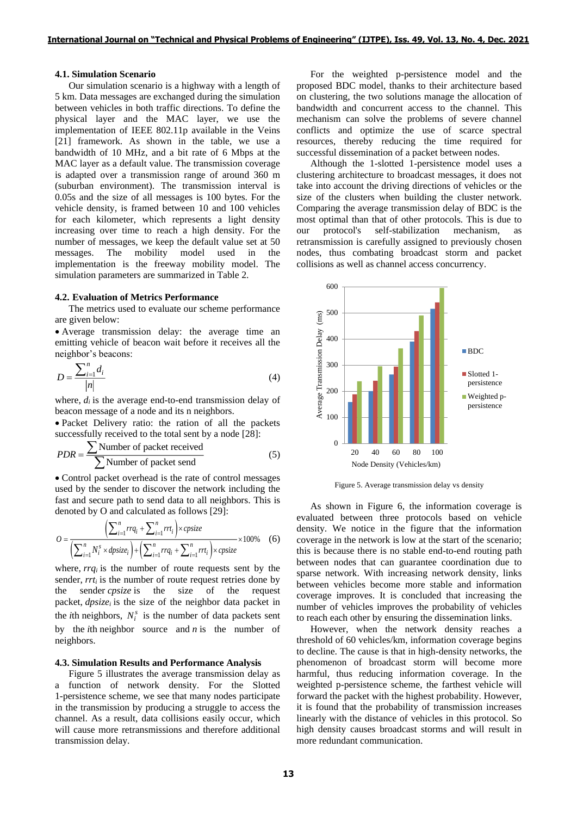### **4.1. Simulation Scenario**

Our simulation scenario is a highway with a length of 5 km. Data messages are exchanged during the simulation between vehicles in both traffic directions. To define the physical layer and the MAC layer, we use the implementation of IEEE 802.11p available in the Veins [21] framework. As shown in the table, we use a bandwidth of 10 MHz, and a bit rate of 6 Mbps at the MAC layer as a default value. The transmission coverage is adapted over a transmission range of around 360 m (suburban environment). The transmission interval is 0.05s and the size of all messages is 100 bytes. For the vehicle density, is framed between 10 and 100 vehicles for each kilometer, which represents a light density increasing over time to reach a high density. For the number of messages, we keep the default value set at 50 messages. The mobility model used in the implementation is the freeway mobility model. The simulation parameters are summarized in Table 2.

#### **4.2. Evaluation of Metrics Performance**

The metrics used to evaluate our scheme performance are given below:

• Average transmission delay: the average time an emitting vehicle of beacon wait before it receives all the neighbor's beacons:

$$
D = \frac{\sum_{i=1}^{n} d_i}{|n|} \tag{4}
$$

where,  $d_i$  is the average end-to-end transmission delay of beacon message of a node and its n neighbors.

• Packet Delivery ratio: the ration of all the packets successfully received to the total sent by a node [28]:

$$
PDR = \frac{\sum \text{Number of packet received}}{\sum \text{Number of packet send}} \tag{5}
$$

• Control packet overhead is the rate of control messages used by the sender to discover the network including the fast and secure path to send data to all neighbors. This is

fast and secure path to send data to all neighbors. This is denoted by O and calculated as follows [29]:  
\n
$$
O = \frac{\left(\sum_{i=1}^{n} rrq_i + \sum_{i=1}^{n} rrt_i\right) \times \text{cpsize}}{\left(\sum_{i=1}^{n} N_i^s \times \text{dpsize}_i\right) + \left(\sum_{i=1}^{n} rrq_i + \sum_{i=1}^{n} rrt_i\right) \times \text{cpsize}} \times 100\% \quad (6)
$$

where, *rrq<sup>i</sup>* is the number of route requests sent by the sender, *rrt<sup>i</sup>* is the number of route request retries done by the sender *cpsize* is the size of the request packet, *dpsize<sup>i</sup>* is the size of the neighbor data packet in the *i*th neighbors,  $N_i^s$  is the number of data packets sent by the *i*th neighbor source and *n* is the number of neighbors.

### **4.3. Simulation Results and Performance Analysis**

Figure 5 illustrates the average transmission delay as a function of network density. For the Slotted 1-persistence scheme, we see that many nodes participate in the transmission by producing a struggle to access the channel. As a result, data collisions easily occur, which will cause more retransmissions and therefore additional transmission delay.

For the weighted p-persistence model and the proposed BDC model, thanks to their architecture based on clustering, the two solutions manage the allocation of bandwidth and concurrent access to the channel. This mechanism can solve the problems of severe channel conflicts and optimize the use of scarce spectral resources, thereby reducing the time required for successful dissemination of a packet between nodes.

Although the 1-slotted 1-persistence model uses a clustering architecture to broadcast messages, it does not take into account the driving directions of vehicles or the size of the clusters when building the cluster network. Comparing the average transmission delay of BDC is the most optimal than that of other protocols. This is due to our protocol's self-stabilization mechanism, retransmission is carefully assigned to previously chosen nodes, thus combating broadcast storm and packet collisions as well as channel access concurrency.



Figure 5. Average transmission delay vs density

As shown in Figure 6, the information coverage is evaluated between three protocols based on vehicle density. We notice in the figure that the information coverage in the network is low at the start of the scenario; this is because there is no stable end-to-end routing path between nodes that can guarantee coordination due to sparse network. With increasing network density, links between vehicles become more stable and information coverage improves. It is concluded that increasing the number of vehicles improves the probability of vehicles to reach each other by ensuring the dissemination links.

However, when the network density reaches a threshold of 60 vehicles/km, information coverage begins to decline. The cause is that in high-density networks, the phenomenon of broadcast storm will become more harmful, thus reducing information coverage. In the weighted p-persistence scheme, the farthest vehicle will forward the packet with the highest probability. However, it is found that the probability of transmission increases linearly with the distance of vehicles in this protocol. So high density causes broadcast storms and will result in more redundant communication.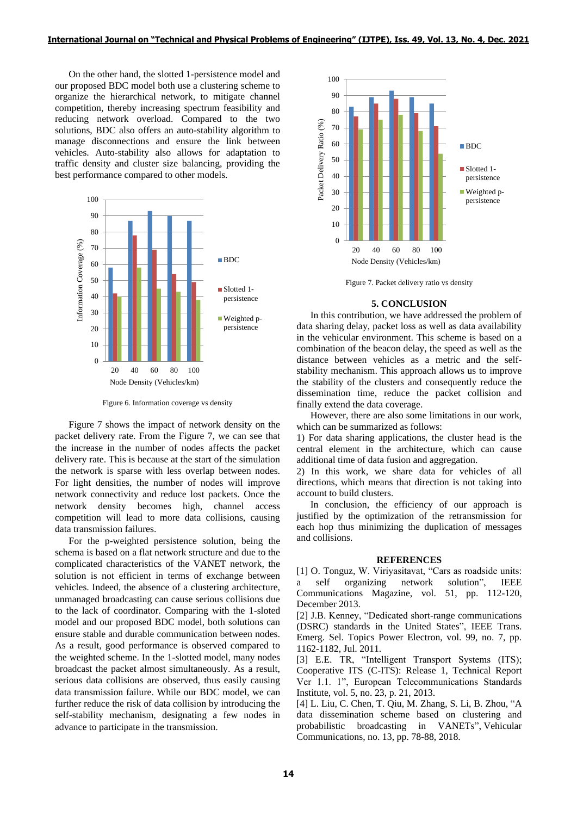On the other hand, the slotted 1-persistence model and our proposed BDC model both use a clustering scheme to organize the hierarchical network, to mitigate channel competition, thereby increasing spectrum feasibility and reducing network overload. Compared to the two solutions, BDC also offers an auto-stability algorithm to manage disconnections and ensure the link between vehicles. Auto-stability also allows for adaptation to traffic density and cluster size balancing, providing the best performance compared to other models.



Figure 6. Information coverage vs density

Figure 7 shows the impact of network density on the packet delivery rate. From the Figure 7, we can see that the increase in the number of nodes affects the packet delivery rate. This is because at the start of the simulation the network is sparse with less overlap between nodes. For light densities, the number of nodes will improve network connectivity and reduce lost packets. Once the network density becomes high, channel access competition will lead to more data collisions, causing data transmission failures.

For the p-weighted persistence solution, being the schema is based on a flat network structure and due to the complicated characteristics of the VANET network, the solution is not efficient in terms of exchange between vehicles. Indeed, the absence of a clustering architecture, unmanaged broadcasting can cause serious collisions due to the lack of coordinator. Comparing with the 1-sloted model and our proposed BDC model, both solutions can ensure stable and durable communication between nodes. As a result, good performance is observed compared to the weighted scheme. In the 1-slotted model, many nodes broadcast the packet almost simultaneously. As a result, serious data collisions are observed, thus easily causing data transmission failure. While our BDC model, we can further reduce the risk of data collision by introducing the self-stability mechanism, designating a few nodes in advance to participate in the transmission.



Figure 7. Packet delivery ratio vs density

#### **5. CONCLUSION**

In this contribution, we have addressed the problem of data sharing delay, packet loss as well as data availability in the vehicular environment. This scheme is based on a combination of the beacon delay, the speed as well as the distance between vehicles as a metric and the selfstability mechanism. This approach allows us to improve the stability of the clusters and consequently reduce the dissemination time, reduce the packet collision and finally extend the data coverage.

However, there are also some limitations in our work, which can be summarized as follows:

1) For data sharing applications, the cluster head is the central element in the architecture, which can cause additional time of data fusion and aggregation.

2) In this work, we share data for vehicles of all directions, which means that direction is not taking into account to build clusters.

In conclusion, the efficiency of our approach is justified by the optimization of the retransmission for each hop thus minimizing the duplication of messages and collisions.

### **REFERENCES**

[1] O. Tonguz, W. Viriyasitavat, "Cars as roadside units: a self organizing network solution", IEEE Communications Magazine, vol. 51, pp. 112-120, December 2013.

[2] J.B. Kenney, "Dedicated short-range communications (DSRC) standards in the United States", IEEE Trans. Emerg. Sel. Topics Power Electron, vol. 99, no. 7, pp. 1162-1182, Jul. 2011.

[3] E.E. TR, "Intelligent Transport Systems (ITS); Cooperative ITS (C-ITS): Release 1, Technical Report Ver 1.1. 1", European Telecommunications Standards Institute, vol. 5, no. 23, p. 21, 2013.

[4] L. Liu, C. Chen, T. Qiu, M. Zhang, S. Li, B. Zhou, "A data dissemination scheme based on clustering and probabilistic broadcasting in VANETs", Vehicular Communications, no. 13, pp. 78-88, 2018.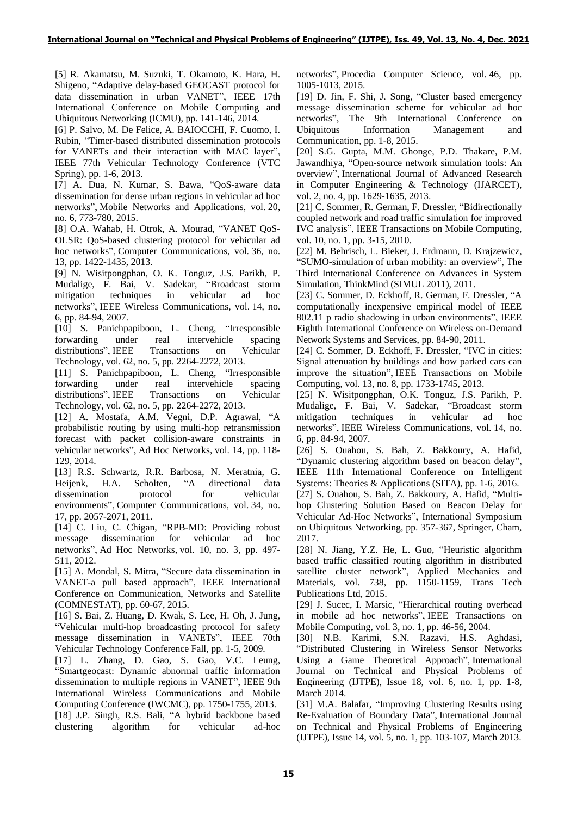[5] R. Akamatsu, M. Suzuki, T. Okamoto, K. Hara, H. Shigeno, "Adaptive delay-based GEOCAST protocol for data dissemination in urban VANET", IEEE 17th International Conference on Mobile Computing and Ubiquitous Networking (ICMU), pp. 141-146, 2014.

[6] P. Salvo, M. De Felice, A. BAIOCCHI, F. Cuomo, I. Rubin, "Timer-based distributed dissemination protocols for VANETs and their interaction with MAC layer", IEEE 77th Vehicular Technology Conference (VTC Spring), pp. 1-6, 2013.

[7] A. Dua, N. Kumar, S. Bawa, "QoS-aware data dissemination for dense urban regions in vehicular ad hoc networks", Mobile Networks and Applications, vol. 20, no. 6, 773-780, 2015.

[8] O.A. Wahab, H. Otrok, A. Mourad, "VANET QoS-OLSR: QoS-based clustering protocol for vehicular ad hoc networks", Computer Communications, vol. 36, no. 13, pp. 1422-1435, 2013.

[9] N. Wisitpongphan, O. K. Tonguz, J.S. Parikh, P. Mudalige, F. Bai, V. Sadekar, "Broadcast storm mitigation techniques in vehicular ad hoc networks", IEEE Wireless Communications, vol. 14, no. 6, pp. 84-94, 2007.

[10] S. Panichpapiboon, L. Cheng, "Irresponsible forwarding under real intervehicle spacing distributions", IEEE Transactions on Vehicular Technology, vol. 62, no. 5, pp. 2264-2272, 2013.

[11] S. Panichpapiboon, L. Cheng, "Irresponsible forwarding under real intervehicle spacing distributions", IEEE Transactions on Vehicular Technology, vol. 62, no. 5, pp. 2264-2272, 2013.

[12] A. Mostafa, A.M. Vegni, D.P. Agrawal, "A probabilistic routing by using multi-hop retransmission forecast with packet collision-aware constraints in vehicular networks", Ad Hoc Networks, vol. 14, pp. 118- 129, 2014.

[13] R.S. Schwartz, R.R. Barbosa, N. Meratnia, G. Heijenk, H.A. Scholten, "A directional data dissemination protocol for vehicular environments", Computer Communications, vol. 34, no. 17, pp. 2057-2071, 2011.

[14] C. Liu, C. Chigan, "RPB-MD: Providing robust message dissemination for vehicular ad hoc networks", Ad Hoc Networks, vol. 10, no. 3, pp. 497- 511, 2012.

[15] A. Mondal, S. Mitra, "Secure data dissemination in VANET-a pull based approach", IEEE International Conference on Communication, Networks and Satellite (COMNESTAT), pp. 60-67, 2015.

[16] S. Bai, Z. Huang, D. Kwak, S. Lee, H. Oh, J. Jung, "Vehicular multi-hop broadcasting protocol for safety message dissemination in VANETs", IEEE 70th Vehicular Technology Conference Fall, pp. 1-5, 2009.

[17] L. Zhang, D. Gao, S. Gao, V.C. Leung, "Smartgeocast: Dynamic abnormal traffic information dissemination to multiple regions in VANET", IEEE 9th International Wireless Communications and Mobile Computing Conference (IWCMC), pp. 1750-1755, 2013.

[18] J.P. Singh, R.S. Bali, "A hybrid backbone based clustering algorithm for vehicular ad-hoc networks", Procedia Computer Science, vol. 46, pp. 1005-1013, 2015.

[19] D. Jin, F. Shi, J. Song, "Cluster based emergency message dissemination scheme for vehicular ad hoc networks", The 9th International Conference on Ubiquitous Information Management and Communication, pp. 1-8, 2015.

[20] S.G. Gupta, M.M. Ghonge, P.D. Thakare, P.M. Jawandhiya, "Open-source network simulation tools: An overview", International Journal of Advanced Research in Computer Engineering & Technology (IJARCET), vol. 2, no. 4, pp. 1629-1635, 2013.

[21] C. Sommer, R. German, F. Dressler, "Bidirectionally coupled network and road traffic simulation for improved IVC analysis", IEEE Transactions on Mobile Computing, vol. 10, no. 1, pp. 3-15, 2010.

[22] M. Behrisch, L. Bieker, J. Erdmann, D. Krajzewicz, "SUMO-simulation of urban mobility: an overview", The Third International Conference on Advances in System Simulation, ThinkMind (SIMUL 2011), 2011.

[23] C. Sommer, D. Eckhoff, R. German, F. Dressler, "A computationally inexpensive empirical model of IEEE 802.11 p radio shadowing in urban environments", IEEE Eighth International Conference on Wireless on-Demand Network Systems and Services, pp. 84-90, 2011.

[24] C. Sommer, D. Eckhoff, F. Dressler, "IVC in cities: Signal attenuation by buildings and how parked cars can improve the situation", IEEE Transactions on Mobile Computing, vol. 13, no. 8, pp. 1733-1745, 2013.

[25] N. Wisitpongphan, O.K. Tonguz, J.S. Parikh, P. Mudalige, F. Bai, V. Sadekar, "Broadcast storm mitigation techniques in vehicular ad hoc networks", IEEE Wireless Communications, vol. 14, no. 6, pp. 84-94, 2007.

[26] S. Ouahou, S. Bah, Z. Bakkoury, A. Hafid, "Dynamic clustering algorithm based on beacon delay", IEEE 11th International Conference on Intelligent Systems: Theories & Applications (SITA), pp. 1-6, 2016.

[27] S. Ouahou, S. Bah, Z. Bakkoury, A. Hafid, "Multihop Clustering Solution Based on Beacon Delay for Vehicular Ad-Hoc Networks", International Symposium on Ubiquitous Networking, pp. 357-367, Springer, Cham, 2017.

[28] N. Jiang, Y.Z. He, L. Guo, "Heuristic algorithm based traffic classified routing algorithm in distributed satellite cluster network", Applied Mechanics and Materials, vol. 738, pp. 1150-1159, Trans Tech Publications Ltd, 2015.

[29] J. Sucec, I. Marsic, "Hierarchical routing overhead in mobile ad hoc networks", IEEE Transactions on Mobile Computing, vol. 3, no. 1, pp. 46-56, 2004.

[30] N.B. Karimi, S.N. Razavi, H.S. Aghdasi, "Distributed Clustering in Wireless Sensor Networks Using a Game Theoretical Approach", International Journal on Technical and Physical Problems of Engineering (IJTPE), Issue 18, vol. 6, no. 1, pp. 1-8, March 2014.

[31] M.A. Balafar, "Improving Clustering Results using Re-Evaluation of Boundary Data", International Journal on Technical and Physical Problems of Engineering (IJTPE), Issue 14, vol. 5, no. 1, pp. 103-107, March 2013.